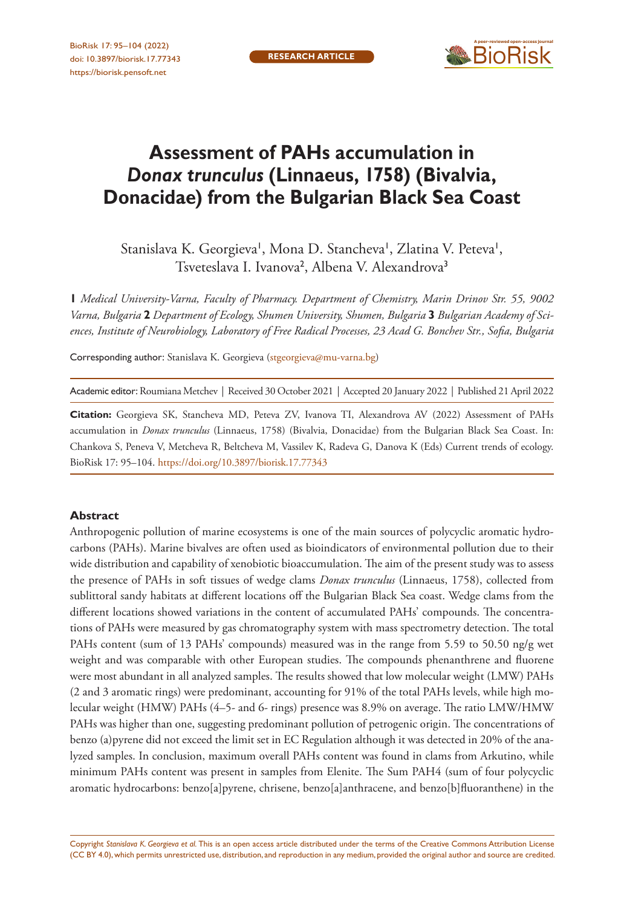

# **Assessment of PAHs accumulation in**  *Donax trunculus* **(Linnaeus, 1758) (Bivalvia, Donacidae) from the Bulgarian Black Sea Coast**

Stanislava K. Georgieva', Mona D. Stancheva', Zlatina V. Peteva', Tsveteslava I. Ivanova<sup>2</sup>, Albena V. Alexandrova<sup>3</sup>

**1** *Medical University-Varna, Faculty of Pharmacy. Department of Chemistry, Marin Drinov Str. 55, 9002 Varna, Bulgaria* **2** *Department of Ecology, Shumen University, Shumen, Bulgaria* **3** *Bulgarian Academy of Sciences, Institute of Neurobiology, Laboratory of Free Radical Processes, 23 Acad G. Bonchev Str., Sofia, Bulgaria*

Corresponding author: Stanislava K. Georgieva ([stgeorgieva@mu-varna.bg\)](mailto:stgeorgieva@mu-varna.bg)

Academic editor: Roumiana Metchev | Received 30 October 2021 | Accepted 20 January 2022 | Published 21 April 2022

**Citation:** Georgieva SK, Stancheva MD, Peteva ZV, Ivanova TI, Alexandrova AV (2022) Assessment of PAHs accumulation in *Donax trunculus* (Linnaeus, 1758) (Bivalvia, Donacidae) from the Bulgarian Black Sea Coast. In: Chankova S, Peneva V, Metcheva R, Beltcheva M, Vassilev K, Radeva G, Danova K (Eds) Current trends of ecology. BioRisk 17: 95–104.<https://doi.org/10.3897/biorisk.17.77343>

#### **Abstract**

Anthropogenic pollution of marine ecosystems is one of the main sources of polycyclic aromatic hydrocarbons (PAHs). Marine bivalves are often used as bioindicators of environmental pollution due to their wide distribution and capability of xenobiotic bioaccumulation. The aim of the present study was to assess the presence of PAHs in soft tissues of wedge clams *Donax trunculus* (Linnaeus, 1758), collected from sublittoral sandy habitats at different locations off the Bulgarian Black Sea coast. Wedge clams from the different locations showed variations in the content of accumulated PAHs' compounds. The concentrations of PAHs were measured by gas chromatography system with mass spectrometry detection. The total PAHs content (sum of 13 PAHs' compounds) measured was in the range from 5.59 to 50.50 ng/g wet weight and was comparable with other European studies. The compounds phenanthrene and fluorene were most abundant in all analyzed samples. The results showed that low molecular weight (LMW) PAHs (2 and 3 aromatic rings) were predominant, accounting for 91% of the total PAHs levels, while high molecular weight (HMW) PAHs (4–5- and 6- rings) presence was 8.9% on average. The ratio LMW/HMW PAHs was higher than one, suggesting predominant pollution of petrogenic origin. The concentrations of benzo (a)pyrene did not exceed the limit set in EC Regulation although it was detected in 20% of the analyzed samples. In conclusion, maximum overall PAHs content was found in clams from Arkutino, while minimum PAHs content was present in samples from Elenite. The Sum PAH4 (sum of four polycyclic aromatic hydrocarbons: benzo[a]pyrene, chrisene, benzo[a]anthracene, and benzo[b]fluoranthene) in the

Copyright *Stanislava K. Georgieva et al.* This is an open access article distributed under the terms of the [Creative Commons Attribution License](http://creativecommons.org/licenses/by/4.0/)  [\(CC BY 4.0\)](http://creativecommons.org/licenses/by/4.0/), which permits unrestricted use, distribution, and reproduction in any medium, provided the original author and source are credited.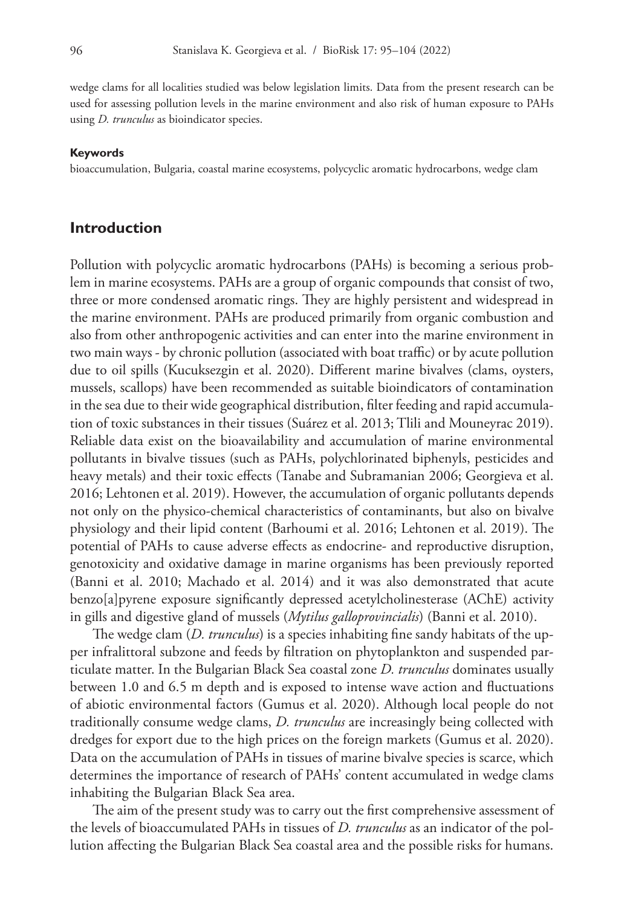wedge clams for all localities studied was below legislation limits. Data from the present research can be used for assessing pollution levels in the marine environment and also risk of human exposure to PAHs using *D. trunculus* as bioindicator species.

#### **Keywords**

bioaccumulation, Bulgaria, coastal marine ecosystems, polycyclic aromatic hydrocarbons, wedge clam

#### **Introduction**

Pollution with polycyclic aromatic hydrocarbons (PAHs) is becoming a serious problem in marine ecosystems. PAHs are a group of organic compounds that consist of two, three or more condensed aromatic rings. They are highly persistent and widespread in the marine environment. PAHs are produced primarily from organic combustion and also from other anthropogenic activities and can enter into the marine environment in two main ways - by chronic pollution (associated with boat traffic) or by acute pollution due to oil spills (Kucuksezgin et al. 2020). Different marine bivalves (clams, oysters, mussels, scallops) have been recommended as suitable bioindicators of contamination in the sea due to their wide geographical distribution, filter feeding and rapid accumulation of toxic substances in their tissues (Suárez et al. 2013; Tlili and Mouneyrac 2019). Reliable data exist on the bioavailability and accumulation of marine environmental pollutants in bivalve tissues (such as PAHs, polychlorinated biphenyls, pesticides and heavy metals) and their toxic effects (Tanabe and Subramanian 2006; Georgieva et al. 2016; Lehtonen et al. 2019). However, the accumulation of organic pollutants depends not only on the physico-chemical characteristics of contaminants, but also on bivalve physiology and their lipid content (Barhoumi et al. 2016; Lehtonen et al. 2019). The potential of PAHs to cause adverse effects as endocrine- and reproductive disruption, genotoxicity and oxidative damage in marine organisms has been previously reported (Banni et al. 2010; Machado et al. 2014) and it was also demonstrated that acute benzo[a]pyrene exposure significantly depressed acetylcholinesterase (AChE) activity in gills and digestive gland of mussels (*Mytilus galloprovincialis*) (Banni et al. 2010).

The wedge clam (*D. trunculus*) is a species inhabiting fine sandy habitats of the upper infralittoral subzone and feeds by filtration on phytoplankton and suspended particulate matter. In the Bulgarian Black Sea coastal zone *D. trunculus* dominates usually between 1.0 and 6.5 m depth and is exposed to intense wave action and fluctuations of abiotic environmental factors (Gumus et al. 2020). Although local people do not traditionally consume wedge clams, *D. trunculus* are increasingly being collected with dredges for export due to the high prices on the foreign markets (Gumus et al. 2020). Data on the accumulation of PAHs in tissues of marine bivalve species is scarce, which determines the importance of research of PAHs' content accumulated in wedge clams inhabiting the Bulgarian Black Sea area.

The aim of the present study was to carry out the first comprehensive assessment of the levels of bioaccumulated PAHs in tissues of *D. trunculus* as an indicator of the pollution affecting the Bulgarian Black Sea coastal area and the possible risks for humans.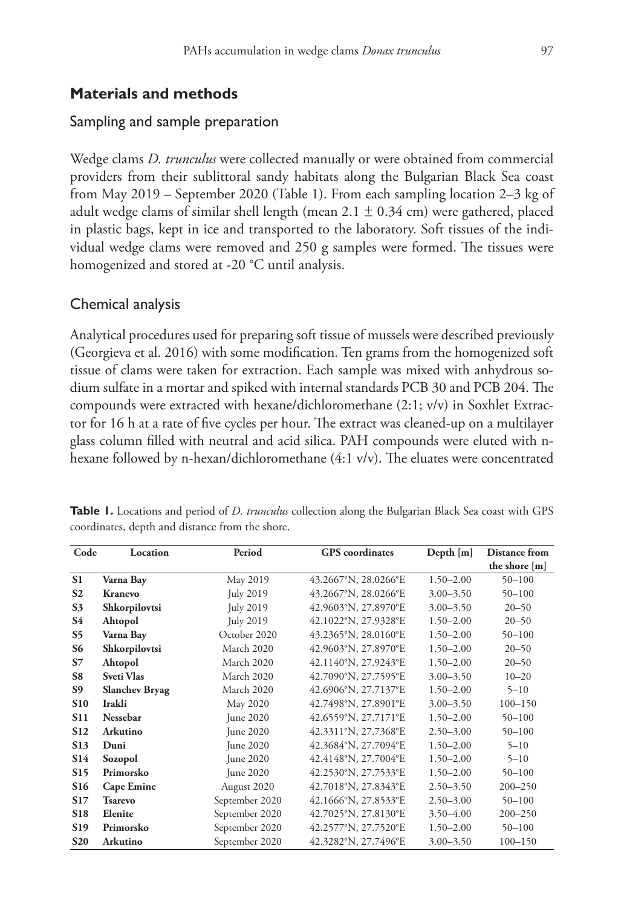# **Materials and methods**

# Sampling and sample preparation

Wedge clams *D. trunculus* were collected manually or were obtained from commercial providers from their sublittoral sandy habitats along the Bulgarian Black Sea coast from May 2019 – September 2020 (Table 1). From each sampling location 2–3 kg of adult wedge clams of similar shell length (mean  $2.1 \pm 0.34$  cm) were gathered, placed in plastic bags, kept in ice and transported to the laboratory. Soft tissues of the individual wedge clams were removed and 250 g samples were formed. The tissues were homogenized and stored at -20 °C until analysis.

# Chemical analysis

Analytical procedures used for preparing soft tissue of mussels were described previously (Georgieva et al. 2016) with some modification. Ten grams from the homogenized soft tissue of clams were taken for extraction. Each sample was mixed with anhydrous sodium sulfate in a mortar and spiked with internal standards PCB 30 and PCB 204. The compounds were extracted with hexane/dichloromethane (2:1; v/v) in Soxhlet Extractor for 16 h at a rate of five cycles per hour. The extract was cleaned-up on a multilayer glass column filled with neutral and acid silica. PAH compounds were eluted with nhexane followed by n-hexan/dichloromethane (4:1 v/v). The eluates were concentrated

| Code            | Location              | Period           | <b>GPS</b> coordinates | Depth [m]     | Distance from |
|-----------------|-----------------------|------------------|------------------------|---------------|---------------|
|                 |                       |                  |                        |               | the shore [m] |
| S <sub>1</sub>  | Varna Bay             | May 2019         | 43.2667°N, 28.0266°E   | $1.50 - 2.00$ | $50 - 100$    |
| S <sub>2</sub>  | Kranevo               | <b>July 2019</b> | 43.2667°N, 28.0266°E   | $3.00 - 3.50$ | $50 - 100$    |
| S <sub>3</sub>  | Shkorpilovtsi         | July 2019        | 42.9603°N, 27.8970°E   | $3.00 - 3.50$ | $20 - 50$     |
| <b>S4</b>       | Ahtopol               | July 2019        | 42.1022°N, 27.9328°E   | $1.50 - 2.00$ | $20 - 50$     |
| S <sub>5</sub>  | Varna Bay             | October 2020     | 43.2365°N, 28.0160°E   | $1.50 - 2.00$ | $50 - 100$    |
| <b>S6</b>       | Shkorpilovtsi         | March 2020       | 42.9603°N, 27.8970°E   | $1.50 - 2.00$ | $20 - 50$     |
| S <sub>7</sub>  | Ahtopol               | March 2020       | 42.1140°N, 27.9243°E   | $1.50 - 2.00$ | $20 - 50$     |
| S8              | Sveti Vlas            | March 2020       | 42.7090°N, 27.7595°E   | $3.00 - 3.50$ | $10 - 20$     |
| S <sub>9</sub>  | <b>Slanchev Bryag</b> | March 2020       | 42.6906°N, 27.7137°E   | $1.50 - 2.00$ | $5 - 10$      |
| <b>S10</b>      | Irakli                | May 2020         | 42.7498°N, 27.8901°E   | $3.00 - 3.50$ | $100 - 150$   |
| <b>S11</b>      | Nessebar              | <b>Iune 2020</b> | 42.6559°N, 27.7171°E   | $1.50 - 2.00$ | $50 - 100$    |
| <b>S12</b>      | Arkutino              | June 2020        | 42.3311°N, 27.7368°E   | $2.50 - 3.00$ | $50 - 100$    |
| <b>S13</b>      | Duni                  | June 2020        | 42.3684°N, 27.7094°E   | $1.50 - 2.00$ | $5 - 10$      |
| <b>S14</b>      | Sozopol               | <b>Iune 2020</b> | 42.4148°N, 27.7004°E   | $1.50 - 2.00$ | $5 - 10$      |
| S15             | Primorsko             | June 2020        | 42.2530°N, 27.7533°E   | $1.50 - 2.00$ | $50 - 100$    |
| <b>S16</b>      | <b>Cape Emine</b>     | August 2020      | 42.7018°N, 27.8343°E   | $2.50 - 3.50$ | $200 - 250$   |
| S <sub>17</sub> | <b>Tsarevo</b>        | September 2020   | 42.1666°N, 27.8533°E   | $2.50 - 3.00$ | $50 - 100$    |
| S18             | Elenite               | September 2020   | 42.7025°N, 27.8130°E   | $3.50 - 4.00$ | $200 - 250$   |
| <b>S19</b>      | Primorsko             | September 2020   | 42.2577°N, 27.7520°E   | $1.50 - 2.00$ | $50 - 100$    |
| <b>S20</b>      | <b>Arkutino</b>       | September 2020   | 42.3282°N, 27.7496°E   | $3.00 - 3.50$ | $100 - 150$   |

**Table 1.** Locations and period of *D. trunculus* collection along the Bulgarian Black Sea coast with GPS coordinates, depth and distance from the shore.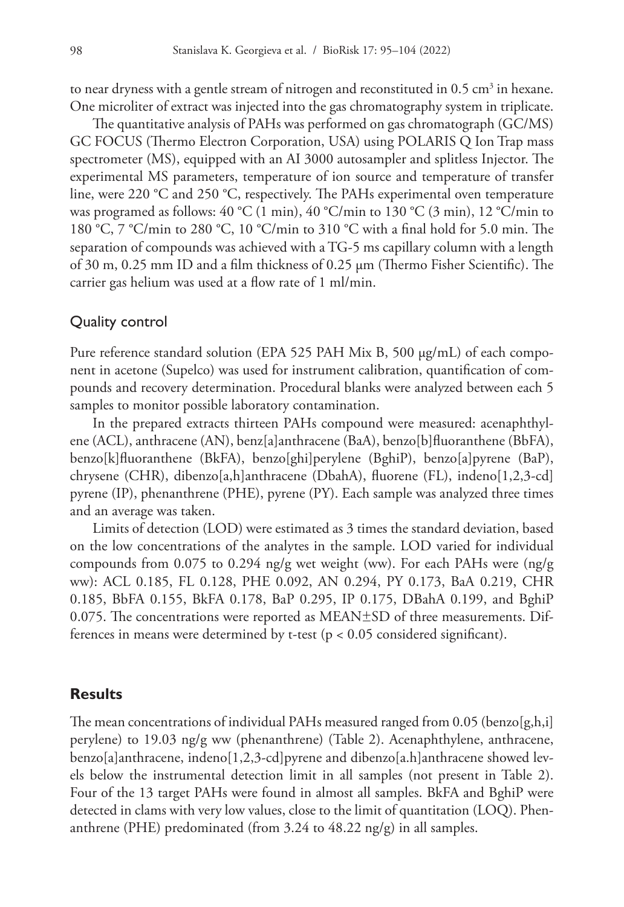to near dryness with a gentle stream of nitrogen and reconstituted in  $0.5 \text{ cm}^3$  in hexane. One microliter of extract was injected into the gas chromatography system in triplicate.

The quantitative analysis of PAHs was performed on gas chromatograph (GC/MS) GC FOCUS (Thermo Electron Corporation, USA) using POLARIS Q Ion Trap mass spectrometer (MS), equipped with an AI 3000 autosampler and splitless Injector. The experimental MS parameters, temperature of ion source and temperature of transfer line, were 220 °C and 250 °C, respectively. The PAHs experimental oven temperature was programed as follows: 40 °C (1 min), 40 °C/min to 130 °C (3 min), 12 °C/min to 180 °C, 7 °C/min to 280 °C, 10 °C/min to 310 °C with a final hold for 5.0 min. The separation of compounds was achieved with a TG-5 ms capillary column with a length of 30 m, 0.25 mm ID and a film thickness of 0.25 μm (Thermo Fisher Scientific). The carrier gas helium was used at a flow rate of 1 ml/min.

### Quality control

Pure reference standard solution (EPA 525 PAH Mix B, 500 μg/mL) of each component in acetone (Supelco) was used for instrument calibration, quantification of compounds and recovery determination. Procedural blanks were analyzed between each 5 samples to monitor possible laboratory contamination.

In the prepared extracts thirteen PAHs compound were measured: acenaphthylene (ACL), anthracene (AN), benz[a]anthracene (BaA), benzo[b]fluoranthene (BbFA), benzo[k]fluoranthene (BkFA), benzo[ghi]perylene (BghiP), benzo[a]pyrene (BaP), chrysene (CHR), dibenzo[a,h]anthracene (DbahA), fluorene (FL), indeno[1,2,3-cd] pyrene (IP), phenanthrene (PHE), pyrene (PY). Each sample was analyzed three times and an average was taken.

Limits of detection (LOD) were estimated as 3 times the standard deviation, based on the low concentrations of the analytes in the sample. LOD varied for individual compounds from 0.075 to 0.294 ng/g wet weight (ww). For each PAHs were (ng/g ww): ACL 0.185, FL 0.128, PHE 0.092, AN 0.294, PY 0.173, BaA 0.219, CHR 0.185, BbFA 0.155, BkFA 0.178, BaP 0.295, IP 0.175, DBahA 0.199, and BghiP 0.075. The concentrations were reported as MEAN $\pm$ SD of three measurements. Differences in means were determined by t-test ( $p < 0.05$  considered significant).

### **Results**

The mean concentrations of individual PAHs measured ranged from 0.05 (benzo[g,h,i] perylene) to 19.03 ng/g ww (phenanthrene) (Table 2). Acenaphthylene, anthracene, benzo[a]anthracene, indeno[1,2,3-cd]pyrene and dibenzo[a.h]anthracene showed levels below the instrumental detection limit in all samples (not present in Table 2). Four of the 13 target PAHs were found in almost all samples. BkFA and BghiP were detected in clams with very low values, close to the limit of quantitation (LOQ). Phenanthrene (PHE) predominated (from 3.24 to 48.22 ng/g) in all samples.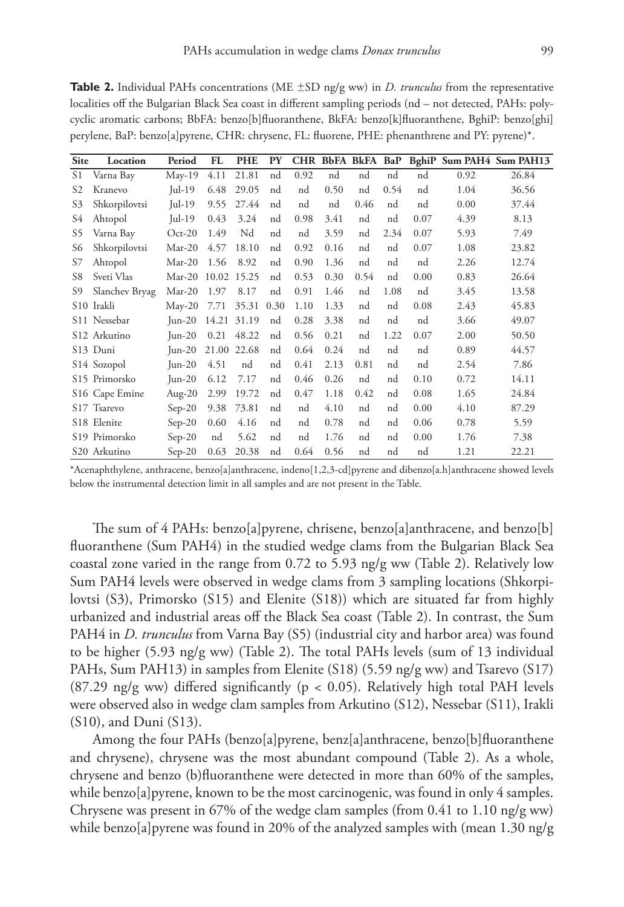| <b>Site</b> | Location                | Period          | FL    | <b>PHE</b>  | <b>PY</b> |      |      |      |      |      |      | CHR BbFA BkFA BaP BghiP Sum PAH4 Sum PAH13 |
|-------------|-------------------------|-----------------|-------|-------------|-----------|------|------|------|------|------|------|--------------------------------------------|
| S1          | Varna Bay               | $May-19$        | 4.11  | 21.81       | nd        | 0.92 | nd   | nd   | nd   | nd   | 0.92 | 26.84                                      |
| S2          | Kranevo                 | Jul-19          | 6.48  | 29.05       | nd        | nd   | 0.50 | nd   | 0.54 | nd   | 1.04 | 36.56                                      |
| S3          | Shkorpilovtsi           | $\text{Iul-19}$ | 9.55  | 27.44       | nd        | nd   | nd   | 0.46 | nd   | nd   | 0.00 | 37.44                                      |
| S4          | Ahtopol                 | $\text{Iul-19}$ | 0.43  | 3.24        | nd        | 0.98 | 3.41 | nd   | nd   | 0.07 | 4.39 | 8.13                                       |
| S5          | Varna Bay               | $Oct-20$        | 1.49  | Nd          | nd        | nd   | 3.59 | nd   | 2.34 | 0.07 | 5.93 | 7.49                                       |
| S6          | Shkorpilovtsi           | $Mar-20$        | 4.57  | 18.10       | nd        | 0.92 | 0.16 | nd   | nd   | 0.07 | 1.08 | 23.82                                      |
| S7          | Ahtopol                 | $Mar-20$        | 1.56  | 8.92        | nd        | 0.90 | 1.36 | nd   | nd   | nd   | 2.26 | 12.74                                      |
| S8          | Sveti Vlas              | Mar-20 10.02    |       | 15.25       | nd        | 0.53 | 0.30 | 0.54 | nd   | 0.00 | 0.83 | 26.64                                      |
| S9          | Slanchev Bryag          | Mar-20          | 1.97  | 8.17        | nd        | 0.91 | 1.46 | nd   | 1.08 | nd   | 3.45 | 13.58                                      |
|             | S <sub>10</sub> Irakli  | $May-20$        | 7.71  | 35.31       | 0.30      | 1.10 | 1.33 | nd   | nd   | 0.08 | 2.43 | 45.83                                      |
|             | S11 Nessebar            | $Jun-20$        | 14.21 | 31.19       | nd        | 0.28 | 3.38 | nd   | nd   | nd   | 3.66 | 49.07                                      |
|             | S12 Arkutino            | $Jun-20$        | 0.21  | 48.22       | nd        | 0.56 | 0.21 | nd   | 1.22 | 0.07 | 2.00 | 50.50                                      |
|             | S13 Duni                | $Jun-20$        |       | 21.00 22.68 | nd        | 0.64 | 0.24 | nd   | nd   | nd   | 0.89 | 44.57                                      |
|             | S <sub>14</sub> Sozopol | Jun-20          | 4.51  | nd          | nd        | 0.41 | 2.13 | 0.81 | nd   | nd   | 2.54 | 7.86                                       |
|             | S15 Primorsko           | $Jun-20$        | 6.12  | 7.17        | nd        | 0.46 | 0.26 | nd   | nd   | 0.10 | 0.72 | 14.11                                      |
|             | S16 Cape Emine          | Aug- $20$       | 2.99  | 19.72       | nd        | 0.47 | 1.18 | 0.42 | nd   | 0.08 | 1.65 | 24.84                                      |
|             | S17 Tsarevo             | $Sep-20$        | 9.38  | 73.81       | nd        | nd   | 4.10 | nd   | nd   | 0.00 | 4.10 | 87.29                                      |
|             | S18 Elenite             | $Sep-20$        | 0.60  | 4.16        | nd        | nd   | 0.78 | nd   | nd   | 0.06 | 0.78 | 5.59                                       |
|             | S19 Primorsko           | $Sep-20$        | nd    | 5.62        | nd        | nd   | 1.76 | nd   | nd   | 0.00 | 1.76 | 7.38                                       |
|             | S20 Arkutino            | $Sep-20$        | 0.63  | 20.38       | nd        | 0.64 | 0.56 | nd   | nd   | nd   | 1.21 | 22.21                                      |

**Table 2.** Individual PAHs concentrations (ME  $\pm$ SD ng/g ww) in *D. trunculus* from the representative localities off the Bulgarian Black Sea coast in different sampling periods (nd – not detected, PAHs: polycyclic aromatic carbons; BbFA: benzo[b]fluoranthene, BkFA: benzo[k]fluoranthene, BghiP: benzo[ghi] perylene, BaP: benzo[a]pyrene, CHR: chrysene, FL: fluorene, PHE: phenanthrene and PY: pyrene)\*.

\*Acenaphthylene, anthracene, benzo[a]anthracene, indeno[1,2,3-cd]pyrene and dibenzo[a.h]anthracene showed levels below the instrumental detection limit in all samples and are not present in the Table.

The sum of 4 PAHs: benzo[a]pyrene, chrisene, benzo[a]anthracene, and benzo[b] fluoranthene (Sum PAH4) in the studied wedge clams from the Bulgarian Black Sea coastal zone varied in the range from 0.72 to 5.93 ng/g ww (Table 2). Relatively low Sum PAH4 levels were observed in wedge clams from 3 sampling locations (Shkorpilovtsi (S3), Primorsko (S15) and Elenite (S18)) which are situated far from highly urbanized and industrial areas off the Black Sea coast (Table 2). In contrast, the Sum PAH4 in *D. trunculus* from Varna Bay (S5) (industrial city and harbor area) was found to be higher (5.93 ng/g ww) (Table 2). The total PAHs levels (sum of 13 individual PAHs, Sum PAH13) in samples from Elenite (S18) (5.59 ng/g ww) and Tsarevo (S17) (87.29 ng/g ww) differed significantly ( $p < 0.05$ ). Relatively high total PAH levels were observed also in wedge clam samples from Arkutino (S12), Nessebar (S11), Irakli (S10), and Duni (S13).

Among the four PAHs (benzo[a]pyrene, benz[a]anthracene, benzo[b]fluoranthene and chrysene), chrysene was the most abundant compound (Table 2). As a whole, chrysene and benzo (b)fluoranthene were detected in more than 60% of the samples, while benzo[a]pyrene, known to be the most carcinogenic, was found in only 4 samples. Chrysene was present in 67% of the wedge clam samples (from 0.41 to 1.10 ng/g ww) while benzo[a]pyrene was found in 20% of the analyzed samples with (mean 1.30 ng/g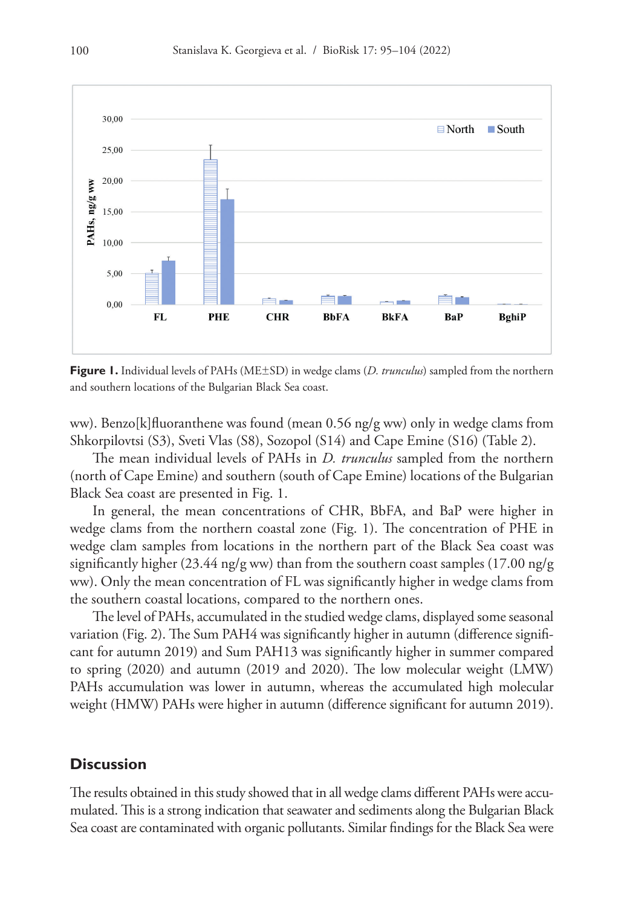

**Figure 1.** Individual levels of PAHs (ME±SD) in wedge clams (*D. trunculus*) sampled from the northern and southern locations of the Bulgarian Black Sea coast.

ww). Benzo[k]fluoranthene was found (mean 0.56 ng/g ww) only in wedge clams from Shkorpilovtsi (S3), Sveti Vlas (S8), Sozopol (S14) and Cape Emine (S16) (Table 2).

The mean individual levels of PAHs in *D. trunculus* sampled from the northern (north of Cape Emine) and southern (south of Cape Emine) locations of the Bulgarian Black Sea coast are presented in Fig. 1.

In general, the mean concentrations of CHR, BbFA, and BaP were higher in wedge clams from the northern coastal zone (Fig. 1). The concentration of PHE in wedge clam samples from locations in the northern part of the Black Sea coast was significantly higher (23.44 ng/g ww) than from the southern coast samples (17.00 ng/g ww). Only the mean concentration of FL was significantly higher in wedge clams from the southern coastal locations, compared to the northern ones.

The level of PAHs, accumulated in the studied wedge clams, displayed some seasonal variation (Fig. 2). The Sum PAH4 was significantly higher in autumn (difference significant for autumn 2019) and Sum PAH13 was significantly higher in summer compared to spring (2020) and autumn (2019 and 2020). The low molecular weight (LMW) PAHs accumulation was lower in autumn, whereas the accumulated high molecular weight (HMW) PAHs were higher in autumn (difference significant for autumn 2019).

### **Discussion**

The results obtained in this study showed that in all wedge clams different PAHs were accumulated. This is a strong indication that seawater and sediments along the Bulgarian Black Sea coast are contaminated with organic pollutants. Similar findings for the Black Sea were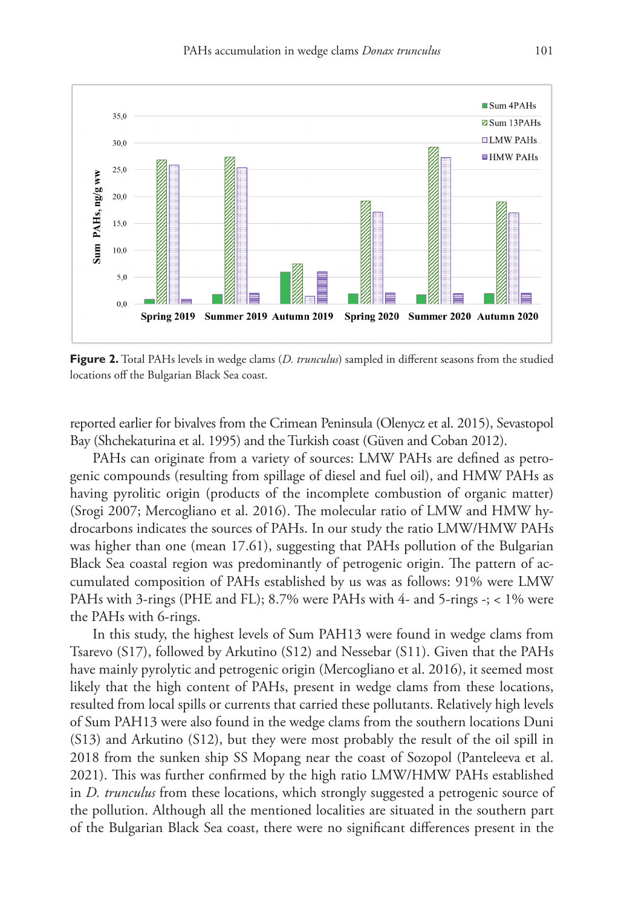

**Figure 2.** Total PAHs levels in wedge clams (*D. trunculus*) sampled in different seasons from the studied locations off the Bulgarian Black Sea coast.

reported earlier for bivalves from the Crimean Peninsula (Olenycz et al. 2015), Sevastopol Bay (Shchekaturina et al. 1995) and the Turkish coast (Güven and Coban 2012).

PAHs can originate from a variety of sources: LMW PAHs are defined as petrogenic compounds (resulting from spillage of diesel and fuel oil), and HMW PAHs as having pyrolitic origin (products of the incomplete combustion of organic matter) (Srogi 2007; Mercogliano et al. 2016). The molecular ratio of LMW and HMW hydrocarbons indicates the sources of PAHs. In our study the ratio LMW/HMW PAHs was higher than one (mean 17.61), suggesting that PAHs pollution of the Bulgarian Black Sea coastal region was predominantly of petrogenic origin. The pattern of accumulated composition of PAHs established by us was as follows: 91% were LMW PAHs with 3-rings (PHE and FL); 8.7% were PAHs with 4- and 5-rings -; < 1% were the PAHs with 6-rings.

In this study, the highest levels of Sum PAH13 were found in wedge clams from Tsarevo (S17), followed by Arkutino (S12) and Nessebar (S11). Given that the PAHs have mainly pyrolytic and petrogenic origin (Mercogliano et al. 2016), it seemed most likely that the high content of PAHs, present in wedge clams from these locations, resulted from local spills or currents that carried these pollutants. Relatively high levels of Sum PAH13 were also found in the wedge clams from the southern locations Duni (S13) and Arkutino (S12), but they were most probably the result of the oil spill in 2018 from the sunken ship SS Mopang near the coast of Sozopol (Panteleeva et al. 2021). This was further confirmed by the high ratio LMW/HMW PAHs established in *D. trunculus* from these locations, which strongly suggested a petrogenic source of the pollution. Although all the mentioned localities are situated in the southern part of the Bulgarian Black Sea coast, there were no significant differences present in the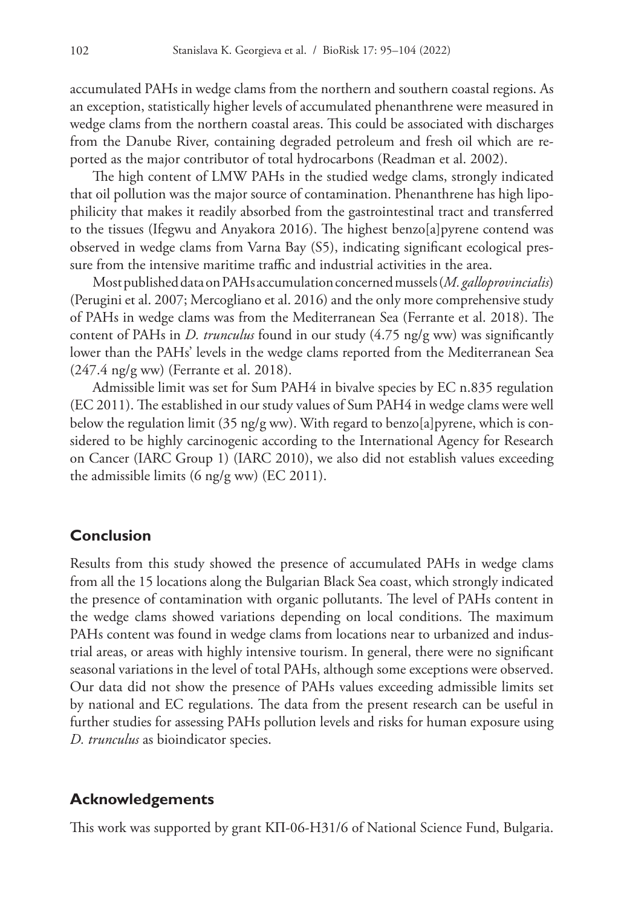accumulated PAHs in wedge clams from the northern and southern coastal regions. As an exception, statistically higher levels of accumulated phenanthrene were measured in wedge clams from the northern coastal areas. This could be associated with discharges from the Danube River, containing degraded petroleum and fresh oil which are reported as the major contributor of total hydrocarbons (Readman et al. 2002).

The high content of LMW PAHs in the studied wedge clams, strongly indicated that oil pollution was the major source of contamination. Phenanthrene has high lipophilicity that makes it readily absorbed from the gastrointestinal tract and transferred to the tissues (Ifegwu and Anyakora 2016). The highest benzo[a]pyrene contend was observed in wedge clams from Varna Bay (S5), indicating significant ecological pressure from the intensive maritime traffic and industrial activities in the area.

Most published data on PAHs accumulation concerned mussels (*M. galloprovincialis*) (Perugini et al. 2007; Mercogliano et al. 2016) and the only more comprehensive study of PAHs in wedge clams was from the Mediterranean Sea (Ferrante et al. 2018). The content of PAHs in *D. trunculus* found in our study (4.75 ng/g ww) was significantly lower than the PAHs' levels in the wedge clams reported from the Mediterranean Sea (247.4 ng/g ww) (Ferrante et al. 2018).

Admissible limit was set for Sum PAH4 in bivalve species by EC n.835 regulation (EC 2011). The established in our study values of Sum PAH4 in wedge clams were well below the regulation limit (35 ng/g ww). With regard to benzo[a] pyrene, which is considered to be highly carcinogenic according to the International Agency for Research on Cancer (IARC Group 1) (IARC 2010), we also did not establish values exceeding the admissible limits (6 ng/g ww) (EC 2011).

# **Conclusion**

Results from this study showed the presence of accumulated PAHs in wedge clams from all the 15 locations along the Bulgarian Black Sea coast, which strongly indicated the presence of contamination with organic pollutants. The level of PAHs content in the wedge clams showed variations depending on local conditions. The maximum PAHs content was found in wedge clams from locations near to urbanized and industrial areas, or areas with highly intensive tourism. In general, there were no significant seasonal variations in the level of total PAHs, although some exceptions were observed. Our data did not show the presence of PAHs values exceeding admissible limits set by national and EC regulations. The data from the present research can be useful in further studies for assessing PAHs pollution levels and risks for human exposure using *D. trunculus* as bioindicator species.

# **Acknowledgements**

This work was supported by grant KП-06-H31/6 of National Science Fund, Bulgaria.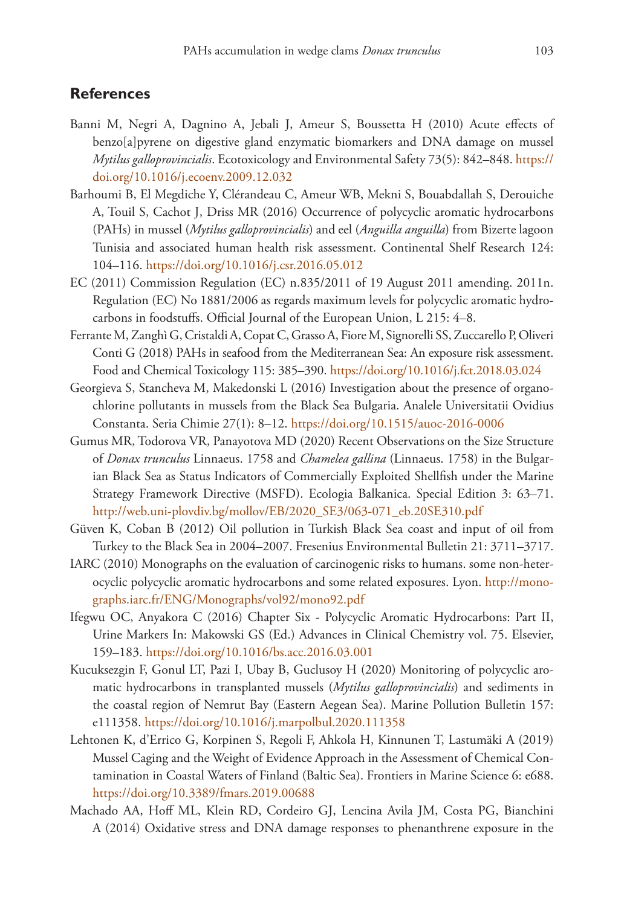## **References**

- Banni M, Negri A, Dagnino A, Jebali J, Ameur S, Boussetta H (2010) Acute effects of benzo[a]pyrene on digestive gland enzymatic biomarkers and DNA damage on mussel *Mytilus galloprovincialis*. Ecotoxicology and Environmental Safety 73(5): 842–848. [https://](https://doi.org/10.1016/j.ecoenv.2009.12.032) [doi.org/10.1016/j.ecoenv.2009.12.032](https://doi.org/10.1016/j.ecoenv.2009.12.032)
- Barhoumi B, El Megdiche Y, Clérandeau C, Ameur WB, Mekni S, Bouabdallah S, Derouiche A, Touil S, Cachot J, Driss MR (2016) Occurrence of polycyclic aromatic hydrocarbons (PAHs) in mussel (*Mytilus galloprovincialis*) and eel (*Anguilla anguilla*) from Bizerte lagoon Tunisia and associated human health risk assessment. Continental Shelf Research 124: 104–116.<https://doi.org/10.1016/j.csr.2016.05.012>
- EC (2011) Commission Regulation (EC) n.835/2011 of 19 August 2011 amending. 2011n. Regulation (EC) No 1881/2006 as regards maximum levels for polycyclic aromatic hydrocarbons in foodstuffs. Official Journal of the European Union, L 215: 4–8.
- Ferrante M, Zanghì G, Cristaldi A, Copat C, Grasso A, Fiore M, Signorelli SS, Zuccarello P, Oliveri Conti G (2018) PAHs in seafood from the Mediterranean Sea: An exposure risk assessment. Food and Chemical Toxicology 115: 385–390. <https://doi.org/10.1016/j.fct.2018.03.024>
- Georgieva S, Stancheva M, Makedonski L (2016) Investigation about the presence of organochlorine pollutants in mussels from the Black Sea Bulgaria. Analele Universitatii Ovidius Constanta. Seria Chimie 27(1): 8–12.<https://doi.org/10.1515/auoc-2016-0006>
- Gumus MR, Todorova VR, Panayotova MD (2020) Recent Observations on the Size Structure of *Donax trunculus* Linnaeus. 1758 and *Chamelea gallina* (Linnaeus. 1758) in the Bulgarian Black Sea as Status Indicators of Commercially Exploited Shellfish under the Marine Strategy Framework Directive (MSFD). Ecologia Balkanica. Special Edition 3: 63–71. [http://web.uni-plovdiv.bg/mollov/EB/2020\\_SE3/063-071\\_eb.20SE310.pdf](http://web.uni-plovdiv.bg/mollov/EB/2020_SE3/063-071_eb.20SE310.pdf)
- Güven K, Coban B (2012) Oil pollution in Turkish Black Sea coast and input of oil from Turkey to the Black Sea in 2004–2007. Fresenius Environmental Bulletin 21: 3711–3717.
- IARC (2010) Monographs on the evaluation of carcinogenic risks to humans. some non-heterocyclic polycyclic aromatic hydrocarbons and some related exposures. Lyon. [http://mono](http://monographs.iarc.fr/ENG/Monographs/vol92/mono92.pdf)[graphs.iarc.fr/ENG/Monographs/vol92/mono92.pdf](http://monographs.iarc.fr/ENG/Monographs/vol92/mono92.pdf)
- Ifegwu OC, Anyakora C (2016) Chapter Six Polycyclic Aromatic Hydrocarbons: Part II, Urine Markers In: Makowski GS (Ed.) Advances in Clinical Chemistry vol. 75. Elsevier, 159–183.<https://doi.org/10.1016/bs.acc.2016.03.001>
- Kucuksezgin F, Gonul LT, Pazi I, Ubay B, Guclusoy H (2020) Monitoring of polycyclic aromatic hydrocarbons in transplanted mussels (*Mytilus galloprovincialis*) and sediments in the coastal region of Nemrut Bay (Eastern Aegean Sea). Marine Pollution Bulletin 157: e111358.<https://doi.org/10.1016/j.marpolbul.2020.111358>
- Lehtonen K, d'Errico G, Korpinen S, Regoli F, Ahkola H, Kinnunen T, Lastumäki A (2019) Mussel Caging and the Weight of Evidence Approach in the Assessment of Chemical Contamination in Coastal Waters of Finland (Baltic Sea). Frontiers in Marine Science 6: e688. <https://doi.org/10.3389/fmars.2019.00688>
- Machado AA, Hoff ML, Klein RD, Cordeiro GJ, Lencina Avila JM, Costa PG, Bianchini A (2014) Oxidative stress and DNA damage responses to phenanthrene exposure in the